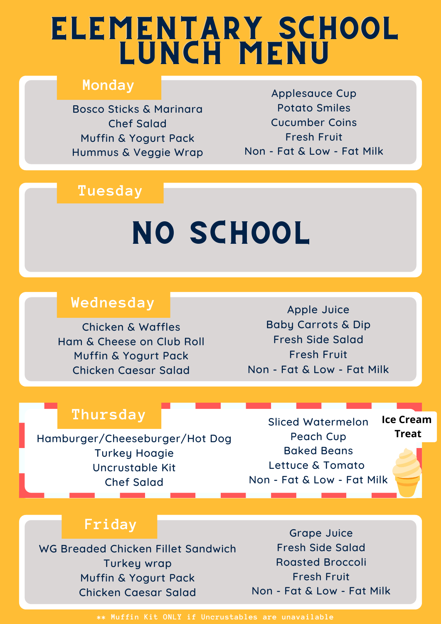## ELEMENTARY SCHOOL LUNCH MENU

#### **Monday**

Bosco Sticks & Marinara Chef Salad Muffin & Yogurt Pack Hummus & Veggie Wrap

### **Tuesday**

#### Turkey Hoagie Hummus Flatbread Box  $\mathbf{M}$  Side Salad NO SCHOOL

#### **Wednesday**

Chicken & Waffles Ham & Cheese on Club Roll Muffin & Yogurt Pack Chicken Caesar Salad

Apple Juice Baby Carrots & Dip Fresh Side Salad Fresh Fruit Non - Fat & Low - Fat Milk

Applesauce Cup Potato Smiles Cucumber Coins Fresh Fruit Non - Fat & Low - Fat Milk

#### **Thursday**

Hamburger/Cheeseburger/Hot Dog Turkey Hoagie Uncrustable Kit Chef Salad

Sliced Watermelon Peach Cup Baked Beans Lettuce & Tomato Non - Fat & Low - Fat Milk **Ice Cream Treat**

#### **Friday**

WG Breaded Chicken Fillet Sandwich Turkey wrap Muffin & Yogurt Pack Chicken Caesar Salad

Grape Juice Fresh Side Salad Roasted Broccoli Fresh Fruit Non - Fat & Low - Fat Milk

**\*\* Muffin Kit ONLY if Uncrustables are unavailable**